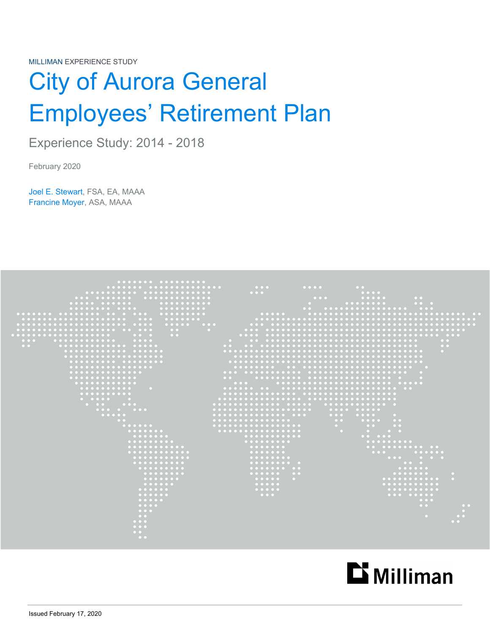MILLIMAN EXPERIENCE STUDY

# City of Aurora General Employees' Retirement Plan

Experience Study: 2014 - 2018

February 2020

Joel E. Stewart, FSA, EA, MAAA Francine Moyer, ASA, MAAA



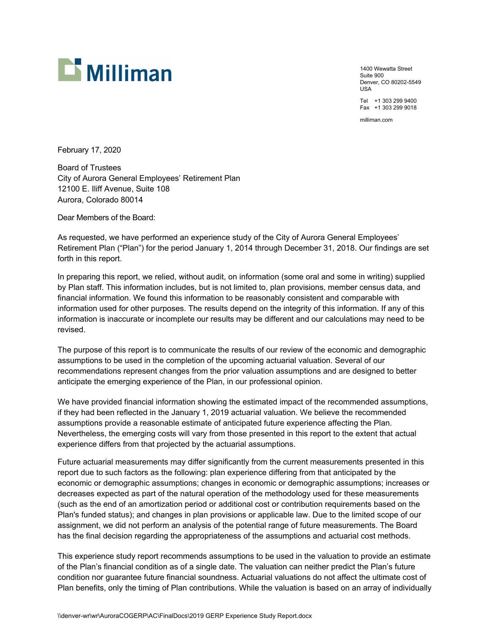

1400 Wewatta Street Suite 900 Denver, CO 80202-5549 USA

Tel +1 303 299 9400 Fax +1 303 299 9018

milliman.com

February 17, 2020

Board of Trustees City of Aurora General Employees' Retirement Plan 12100 E. Iliff Avenue, Suite 108 Aurora, Colorado 80014

Dear Members of the Board:

As requested, we have performed an experience study of the City of Aurora General Employees' Retirement Plan ("Plan") for the period January 1, 2014 through December 31, 2018. Our findings are set forth in this report.

In preparing this report, we relied, without audit, on information (some oral and some in writing) supplied by Plan staff. This information includes, but is not limited to, plan provisions, member census data, and financial information. We found this information to be reasonably consistent and comparable with information used for other purposes. The results depend on the integrity of this information. If any of this information is inaccurate or incomplete our results may be different and our calculations may need to be revised.

The purpose of this report is to communicate the results of our review of the economic and demographic assumptions to be used in the completion of the upcoming actuarial valuation. Several of our recommendations represent changes from the prior valuation assumptions and are designed to better anticipate the emerging experience of the Plan, in our professional opinion.

We have provided financial information showing the estimated impact of the recommended assumptions, if they had been reflected in the January 1, 2019 actuarial valuation. We believe the recommended assumptions provide a reasonable estimate of anticipated future experience affecting the Plan. Nevertheless, the emerging costs will vary from those presented in this report to the extent that actual experience differs from that projected by the actuarial assumptions.

Future actuarial measurements may differ significantly from the current measurements presented in this report due to such factors as the following: plan experience differing from that anticipated by the economic or demographic assumptions; changes in economic or demographic assumptions; increases or decreases expected as part of the natural operation of the methodology used for these measurements (such as the end of an amortization period or additional cost or contribution requirements based on the Plan's funded status); and changes in plan provisions or applicable law. Due to the limited scope of our assignment, we did not perform an analysis of the potential range of future measurements. The Board has the final decision regarding the appropriateness of the assumptions and actuarial cost methods.

This experience study report recommends assumptions to be used in the valuation to provide an estimate of the Plan's financial condition as of a single date. The valuation can neither predict the Plan's future condition nor guarantee future financial soundness. Actuarial valuations do not affect the ultimate cost of Plan benefits, only the timing of Plan contributions. While the valuation is based on an array of individually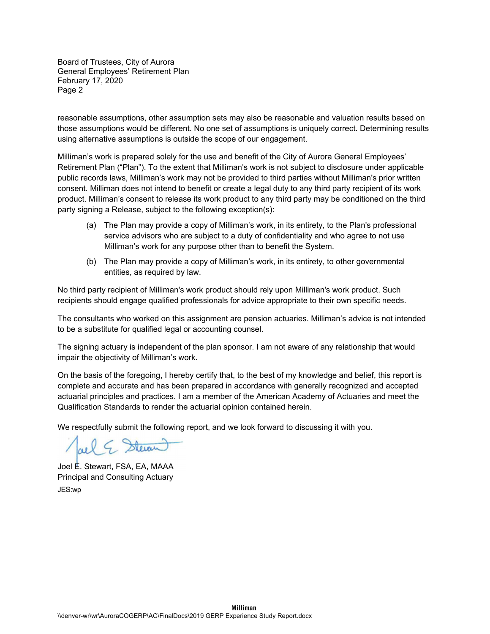Board of Trustees, City of Aurora General Employees' Retirement Plan February 17, 2020 Page 2

reasonable assumptions, other assumption sets may also be reasonable and valuation results based on those assumptions would be different. No one set of assumptions is uniquely correct. Determining results using alternative assumptions is outside the scope of our engagement.

Milliman's work is prepared solely for the use and benefit of the City of Aurora General Employees' Retirement Plan ("Plan"). To the extent that Milliman's work is not subject to disclosure under applicable public records laws, Milliman's work may not be provided to third parties without Milliman's prior written consent. Milliman does not intend to benefit or create a legal duty to any third party recipient of its work product. Milliman's consent to release its work product to any third party may be conditioned on the third party signing a Release, subject to the following exception(s):

- (a) The Plan may provide a copy of Milliman's work, in its entirety, to the Plan's professional service advisors who are subject to a duty of confidentiality and who agree to not use Milliman's work for any purpose other than to benefit the System.
- (b) The Plan may provide a copy of Milliman's work, in its entirety, to other governmental entities, as required by law.

No third party recipient of Milliman's work product should rely upon Milliman's work product. Such recipients should engage qualified professionals for advice appropriate to their own specific needs.

The consultants who worked on this assignment are pension actuaries. Milliman's advice is not intended to be a substitute for qualified legal or accounting counsel.

The signing actuary is independent of the plan sponsor. I am not aware of any relationship that would impair the objectivity of Milliman's work.

On the basis of the foregoing, I hereby certify that, to the best of my knowledge and belief, this report is complete and accurate and has been prepared in accordance with generally recognized and accepted actuarial principles and practices. I am a member of the American Academy of Actuaries and meet the Qualification Standards to render the actuarial opinion contained herein.

We respectfully submit the following report, and we look forward to discussing it with you.

wl S Stewan

Joel E. Stewart, FSA, EA, MAAA Principal and Consulting Actuary JES:wp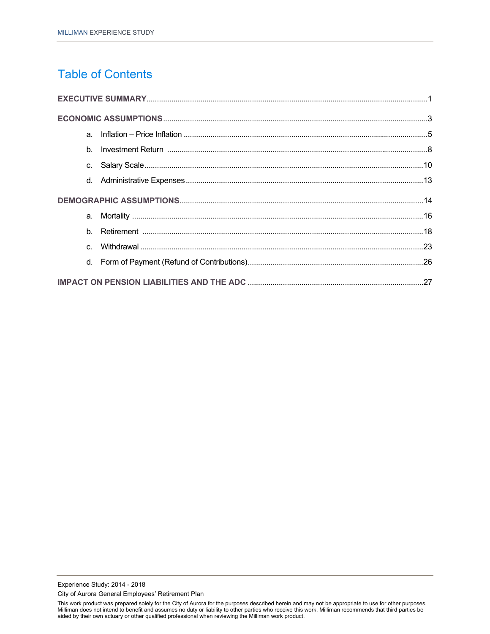## Table of Contents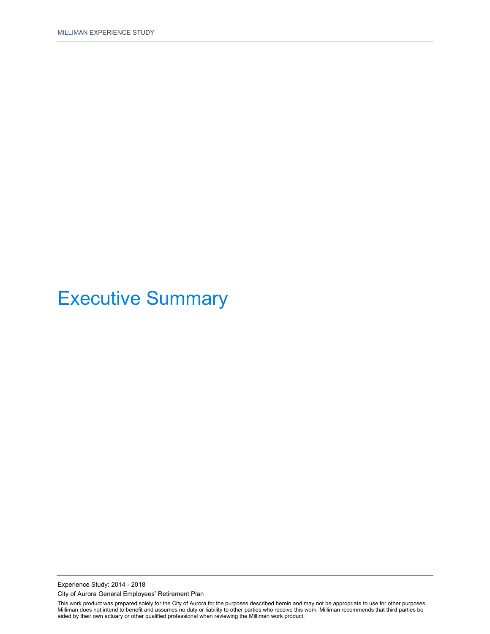## Executive Summary

Experience Study: 2014 - 2018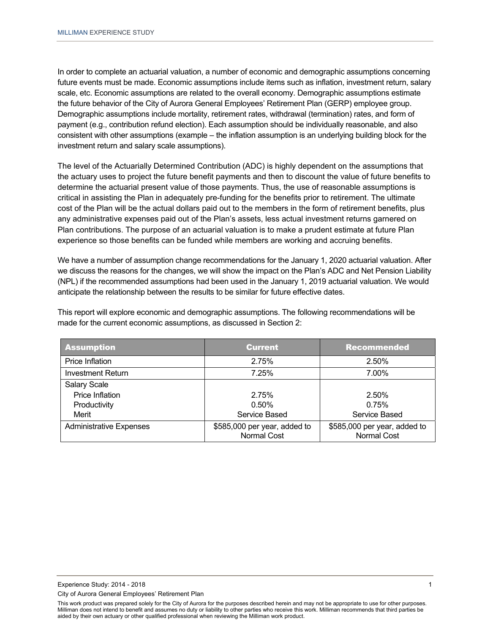In order to complete an actuarial valuation, a number of economic and demographic assumptions concerning future events must be made. Economic assumptions include items such as inflation, investment return, salary scale, etc. Economic assumptions are related to the overall economy. Demographic assumptions estimate the future behavior of the City of Aurora General Employees' Retirement Plan (GERP) employee group. Demographic assumptions include mortality, retirement rates, withdrawal (termination) rates, and form of payment (e.g., contribution refund election). Each assumption should be individually reasonable, and also consistent with other assumptions (example – the inflation assumption is an underlying building block for the investment return and salary scale assumptions).

The level of the Actuarially Determined Contribution (ADC) is highly dependent on the assumptions that the actuary uses to project the future benefit payments and then to discount the value of future benefits to determine the actuarial present value of those payments. Thus, the use of reasonable assumptions is critical in assisting the Plan in adequately pre-funding for the benefits prior to retirement. The ultimate cost of the Plan will be the actual dollars paid out to the members in the form of retirement benefits, plus any administrative expenses paid out of the Plan's assets, less actual investment returns garnered on Plan contributions. The purpose of an actuarial valuation is to make a prudent estimate at future Plan experience so those benefits can be funded while members are working and accruing benefits.

We have a number of assumption change recommendations for the January 1, 2020 actuarial valuation. After we discuss the reasons for the changes, we will show the impact on the Plan's ADC and Net Pension Liability (NPL) if the recommended assumptions had been used in the January 1, 2019 actuarial valuation. We would anticipate the relationship between the results to be similar for future effective dates.

| <b>Assumption</b>              | <b>Current</b>                                     | <b>Recommended</b>                                 |
|--------------------------------|----------------------------------------------------|----------------------------------------------------|
| Price Inflation                | 2.75%                                              | 2.50%                                              |
| <b>Investment Return</b>       | 7.25%                                              | 7.00%                                              |
| <b>Salary Scale</b>            |                                                    |                                                    |
| Price Inflation                | 2.75%                                              | $2.50\%$                                           |
| Productivity                   | 0.50%                                              | 0.75%                                              |
| Merit                          | Service Based                                      | Service Based                                      |
| <b>Administrative Expenses</b> | \$585,000 per year, added to<br><b>Normal Cost</b> | \$585,000 per year, added to<br><b>Normal Cost</b> |

This report will explore economic and demographic assumptions. The following recommendations will be made for the current economic assumptions, as discussed in Section 2:

Experience Study: 2014 - 2018 1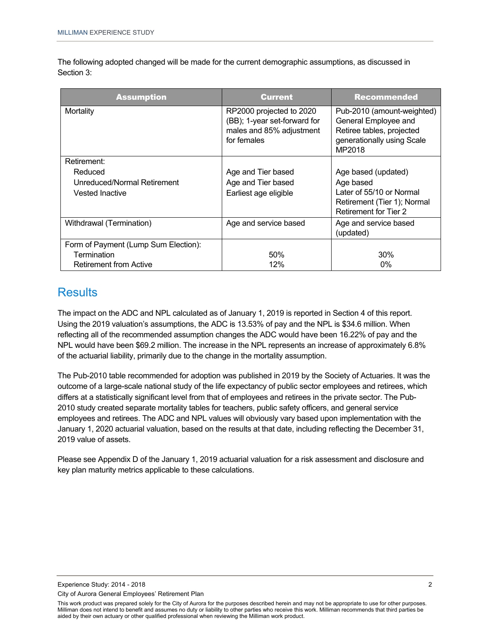The following adopted changed will be made for the current demographic assumptions, as discussed in Section 3:

| <b>Assumption</b>                    | Current                                                                                             | <b>Recommended</b>                                                                                                      |
|--------------------------------------|-----------------------------------------------------------------------------------------------------|-------------------------------------------------------------------------------------------------------------------------|
| Mortality                            | RP2000 projected to 2020<br>(BB); 1-year set-forward for<br>males and 85% adjustment<br>for females | Pub-2010 (amount-weighted)<br>General Employee and<br>Retiree tables, projected<br>generationally using Scale<br>MP2018 |
| Retirement:                          |                                                                                                     |                                                                                                                         |
| Reduced                              | Age and Tier based                                                                                  | Age based (updated)                                                                                                     |
| Unreduced/Normal Retirement          | Age and Tier based                                                                                  | Age based                                                                                                               |
| Vested Inactive                      | Earliest age eligible                                                                               | Later of 55/10 or Normal<br>Retirement (Tier 1); Normal<br><b>Retirement for Tier 2</b>                                 |
| Withdrawal (Termination)             | Age and service based                                                                               | Age and service based<br>(updated)                                                                                      |
| Form of Payment (Lump Sum Election): |                                                                                                     |                                                                                                                         |
| Termination                          | 50%                                                                                                 | 30%                                                                                                                     |
| <b>Retirement from Active</b>        | 12%                                                                                                 | $0\%$                                                                                                                   |

### **Results**

The impact on the ADC and NPL calculated as of January 1, 2019 is reported in Section 4 of this report. Using the 2019 valuation's assumptions, the ADC is 13.53% of pay and the NPL is \$34.6 million. When reflecting all of the recommended assumption changes the ADC would have been 16.22% of pay and the NPL would have been \$69.2 million. The increase in the NPL represents an increase of approximately 6.8% of the actuarial liability, primarily due to the change in the mortality assumption.

The Pub-2010 table recommended for adoption was published in 2019 by the Society of Actuaries. It was the outcome of a large-scale national study of the life expectancy of public sector employees and retirees, which differs at a statistically significant level from that of employees and retirees in the private sector. The Pub-2010 study created separate mortality tables for teachers, public safety officers, and general service employees and retirees. The ADC and NPL values will obviously vary based upon implementation with the January 1, 2020 actuarial valuation, based on the results at that date, including reflecting the December 31, 2019 value of assets.

Please see Appendix D of the January 1, 2019 actuarial valuation for a risk assessment and disclosure and key plan maturity metrics applicable to these calculations.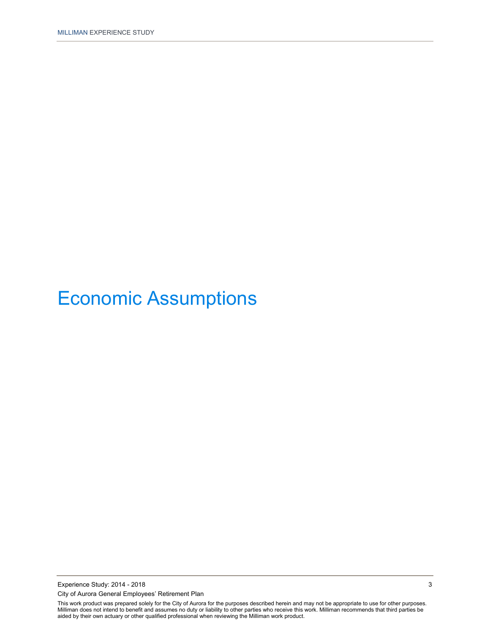## Economic Assumptions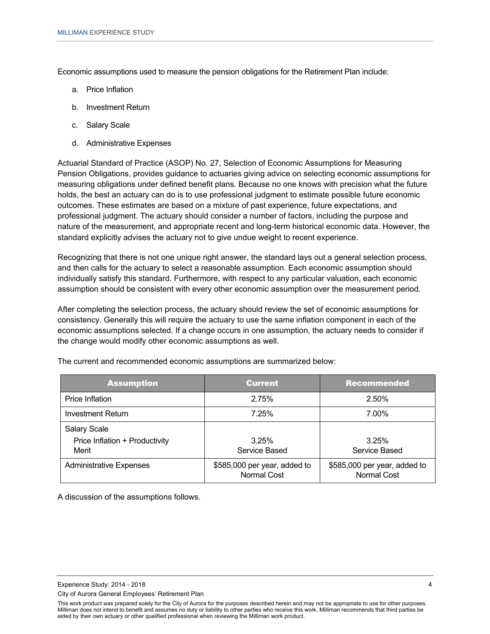Economic assumptions used to measure the pension obligations for the Retirement Plan include:

- a. Price Inflation
- b. Investment Return
- c. Salary Scale
- d. Administrative Expenses

Actuarial Standard of Practice (ASOP) No. 27, Selection of Economic Assumptions for Measuring Pension Obligations, provides guidance to actuaries giving advice on selecting economic assumptions for measuring obligations under defined benefit plans. Because no one knows with precision what the future holds, the best an actuary can do is to use professional judgment to estimate possible future economic outcomes. These estimates are based on a mixture of past experience, future expectations, and professional judgment. The actuary should consider a number of factors, including the purpose and nature of the measurement, and appropriate recent and long-term historical economic data. However, the standard explicitly advises the actuary not to give undue weight to recent experience.

Recognizing that there is not one unique right answer, the standard lays out a general selection process, and then calls for the actuary to select a reasonable assumption. Each economic assumption should individually satisfy this standard. Furthermore, with respect to any particular valuation, each economic assumption should be consistent with every other economic assumption over the measurement period.

After completing the selection process, the actuary should review the set of economic assumptions for consistency. Generally this will require the actuary to use the same inflation component in each of the economic assumptions selected. If a change occurs in one assumption, the actuary needs to consider if the change would modify other economic assumptions as well.

| <b>Assumption</b>                                              | Current                                     | <b>Recommended</b>                          |
|----------------------------------------------------------------|---------------------------------------------|---------------------------------------------|
| Price Inflation                                                | 2.75%                                       | 2.50%                                       |
| Investment Return                                              | 7.25%                                       | 7.00%                                       |
| <b>Salary Scale</b><br>Price Inflation + Productivity<br>Merit | 3.25%<br>Service Based                      | 3.25%<br>Service Based                      |
| <b>Administrative Expenses</b>                                 | \$585,000 per year, added to<br>Normal Cost | \$585,000 per year, added to<br>Normal Cost |

The current and recommended economic assumptions are summarized below:

A discussion of the assumptions follows.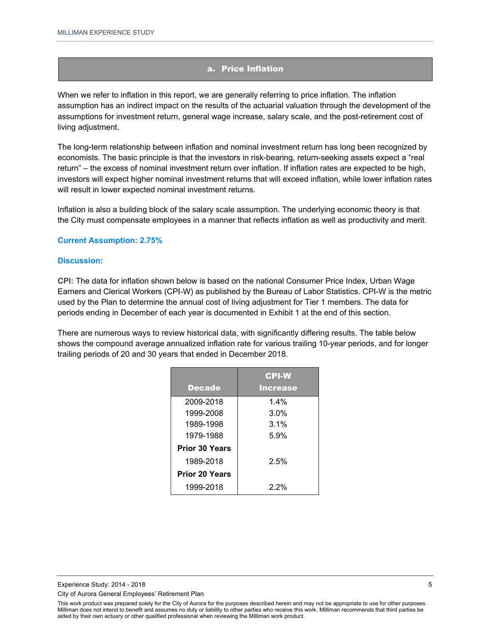#### a. Price Inflation

When we refer to inflation in this report, we are generally referring to price inflation. The inflation assumption has an indirect impact on the results of the actuarial valuation through the development of the assumptions for investment return, general wage increase, salary scale, and the post-retirement cost of living adjustment.

The long-term relationship between inflation and nominal investment return has long been recognized by economists. The basic principle is that the investors in risk-bearing, return-seeking assets expect a "real return" – the excess of nominal investment return over inflation. If inflation rates are expected to be high, investors will expect higher nominal investment returns that will exceed inflation, while lower inflation rates will result in lower expected nominal investment returns.

Inflation is also a building block of the salary scale assumption. The underlying economic theory is that the City must compensate employees in a manner that reflects inflation as well as productivity and merit.

#### **Current Assumption: 2.75%**

#### **Discussion:**

**CPI:** The data for inflation shown below is based on the national Consumer Price Index, Urban Wage Earners and Clerical Workers (CPI-W) as published by the Bureau of Labor Statistics. CPI-W is the metric used by the Plan to determine the annual cost of living adjustment for Tier 1 members. The data for periods ending in December of each year is documented in Exhibit 1 at the end of this section.

There are numerous ways to review historical data, with significantly differing results. The table below shows the compound average annualized inflation rate for various trailing 10-year periods, and for longer trailing periods of 20 and 30 years that ended in December 2018.

| <b>Decade</b>         | <b>CPI-W</b><br><b>Increase</b> |
|-----------------------|---------------------------------|
| 2009-2018             | 1.4%                            |
| 1999-2008             | $3.0\%$                         |
| 1989-1998             | 3.1%                            |
| 1979-1988             | 5.9%                            |
| <b>Prior 30 Years</b> |                                 |
| 1989-2018             | 2.5%                            |
| <b>Prior 20 Years</b> |                                 |
| 1999-2018             | 22%                             |

Experience Study: 2014 - 2018 **5** 

City of Aurora General Employees' Retirement Plan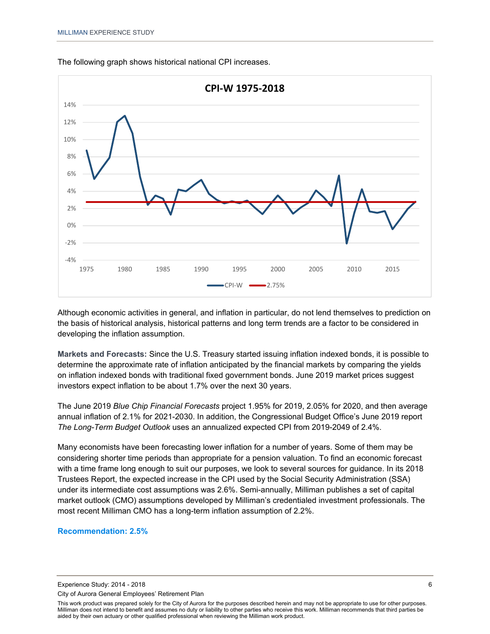

The following graph shows historical national CPI increases.

Although economic activities in general, and inflation in particular, do not lend themselves to prediction on the basis of historical analysis, historical patterns and long term trends are a factor to be considered in developing the inflation assumption.

**Markets and Forecasts:** Since the U.S. Treasury started issuing inflation indexed bonds, it is possible to determine the approximate rate of inflation anticipated by the financial markets by comparing the yields on inflation indexed bonds with traditional fixed government bonds. June 2019 market prices suggest investors expect inflation to be about 1.7% over the next 30 years.

The June 2019 *Blue Chip Financial Forecasts* project 1.95% for 2019, 2.05% for 2020, and then average annual inflation of 2.1% for 2021-2030. In addition, the Congressional Budget Office's June 2019 report *The Long-Term Budget Outlook* uses an annualized expected CPI from 2019-2049 of 2.4%.

Many economists have been forecasting lower inflation for a number of years. Some of them may be considering shorter time periods than appropriate for a pension valuation. To find an economic forecast with a time frame long enough to suit our purposes, we look to several sources for guidance. In its 2018 Trustees Report, the expected increase in the CPI used by the Social Security Administration (SSA) under its intermediate cost assumptions was 2.6%. Semi-annually, Milliman publishes a set of capital market outlook (CMO) assumptions developed by Milliman's credentialed investment professionals. The most recent Milliman CMO has a long-term inflation assumption of 2.2%.

#### **Recommendation: 2.5%**

Experience Study: 2014 - 2018 6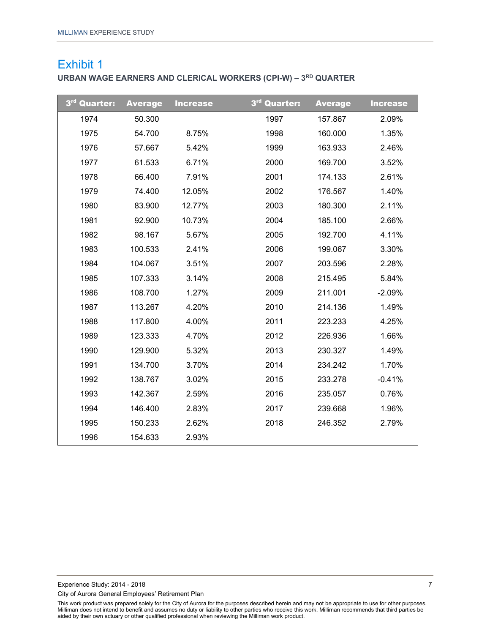### Exhibit 1

URBAN WAGE EARNERS AND CLERICAL WORKERS (CPI-W) - 3<sup>RD</sup> QUARTER

| 3 <sup>rd</sup><br><b>Quarter:</b> | <b>Average</b> | <b>Increase</b> | 3 <sup>rd</sup> Quarter: | <b>Average</b> | <b>Increase</b> |
|------------------------------------|----------------|-----------------|--------------------------|----------------|-----------------|
| 1974                               | 50.300         |                 | 1997                     | 157.867        | 2.09%           |
| 1975                               | 54.700         | 8.75%           | 1998                     | 160.000        | 1.35%           |
| 1976                               | 57.667         | 5.42%           | 1999                     | 163.933        | 2.46%           |
| 1977                               | 61.533         | 6.71%           | 2000                     | 169.700        | 3.52%           |
| 1978                               | 66.400         | 7.91%           | 2001                     | 174.133        | 2.61%           |
| 1979                               | 74.400         | 12.05%          | 2002                     | 176.567        | 1.40%           |
| 1980                               | 83.900         | 12.77%          | 2003                     | 180.300        | 2.11%           |
| 1981                               | 92.900         | 10.73%          | 2004                     | 185.100        | 2.66%           |
| 1982                               | 98.167         | 5.67%           | 2005                     | 192.700        | 4.11%           |
| 1983                               | 100.533        | 2.41%           | 2006                     | 199.067        | 3.30%           |
| 1984                               | 104.067        | 3.51%           | 2007                     | 203.596        | 2.28%           |
| 1985                               | 107.333        | 3.14%           | 2008                     | 215.495        | 5.84%           |
| 1986                               | 108.700        | 1.27%           | 2009                     | 211.001        | $-2.09%$        |
| 1987                               | 113.267        | 4.20%           | 2010                     | 214.136        | 1.49%           |
| 1988                               | 117.800        | 4.00%           | 2011                     | 223.233        | 4.25%           |
| 1989                               | 123.333        | 4.70%           | 2012                     | 226.936        | 1.66%           |
| 1990                               | 129.900        | 5.32%           | 2013                     | 230.327        | 1.49%           |
| 1991                               | 134.700        | 3.70%           | 2014                     | 234.242        | 1.70%           |
| 1992                               | 138.767        | 3.02%           | 2015                     | 233.278        | $-0.41%$        |
| 1993                               | 142.367        | 2.59%           | 2016                     | 235.057        | 0.76%           |
| 1994                               | 146.400        | 2.83%           | 2017                     | 239.668        | 1.96%           |
| 1995                               | 150.233        | 2.62%           | 2018                     | 246.352        | 2.79%           |
| 1996                               | 154.633        | 2.93%           |                          |                |                 |

City of Aurora General Employees' Retirement Plan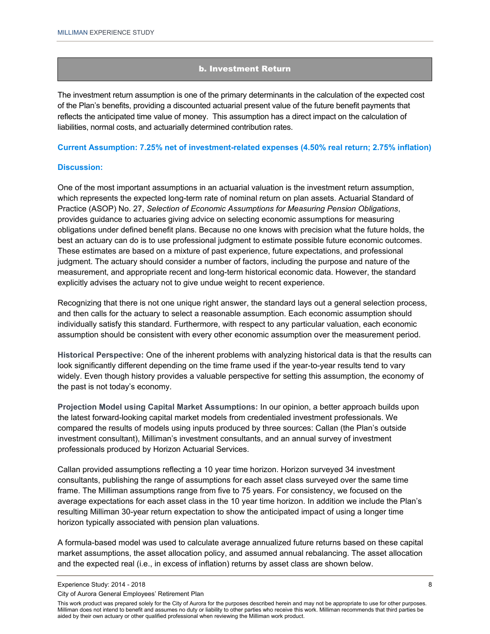#### b. Investment Return

The investment return assumption is one of the primary determinants in the calculation of the expected cost of the Plan's benefits, providing a discounted actuarial present value of the future benefit payments that reflects the anticipated time value of money. This assumption has a direct impact on the calculation of liabilities, normal costs, and actuarially determined contribution rates.

#### **Current Assumption: 7.25% net of investment-related expenses (4.50% real return; 2.75% inflation)**

#### **Discussion:**

One of the most important assumptions in an actuarial valuation is the investment return assumption, which represents the expected long-term rate of nominal return on plan assets. Actuarial Standard of Practice (ASOP) No. 27, *Selection of Economic Assumptions for Measuring Pension Obligations*, provides guidance to actuaries giving advice on selecting economic assumptions for measuring obligations under defined benefit plans. Because no one knows with precision what the future holds, the best an actuary can do is to use professional judgment to estimate possible future economic outcomes. These estimates are based on a mixture of past experience, future expectations, and professional judgment. The actuary should consider a number of factors, including the purpose and nature of the measurement, and appropriate recent and long-term historical economic data. However, the standard explicitly advises the actuary not to give undue weight to recent experience.

Recognizing that there is not one unique right answer, the standard lays out a general selection process, and then calls for the actuary to select a reasonable assumption. Each economic assumption should individually satisfy this standard. Furthermore, with respect to any particular valuation, each economic assumption should be consistent with every other economic assumption over the measurement period.

**Historical Perspective:** One of the inherent problems with analyzing historical data is that the results can look significantly different depending on the time frame used if the year-to-year results tend to vary widely. Even though history provides a valuable perspective for setting this assumption, the economy of the past is not today's economy.

**Projection Model using Capital Market Assumptions:** In our opinion, a better approach builds upon the latest forward-looking capital market models from credentialed investment professionals. We compared the results of models using inputs produced by three sources: Callan (the Plan's outside investment consultant), Milliman's investment consultants, and an annual survey of investment professionals produced by Horizon Actuarial Services.

Callan provided assumptions reflecting a 10 year time horizon. Horizon surveyed 34 investment consultants, publishing the range of assumptions for each asset class surveyed over the same time frame. The Milliman assumptions range from five to 75 years. For consistency, we focused on the average expectations for each asset class in the 10 year time horizon. In addition we include the Plan's resulting Milliman 30-year return expectation to show the anticipated impact of using a longer time horizon typically associated with pension plan valuations.

A formula-based model was used to calculate average annualized future returns based on these capital market assumptions, the asset allocation policy, and assumed annual rebalancing. The asset allocation and the expected real (i.e., in excess of inflation) returns by asset class are shown below.

City of Aurora General Employees' Retirement Plan

Experience Study: 2014 - 2018 8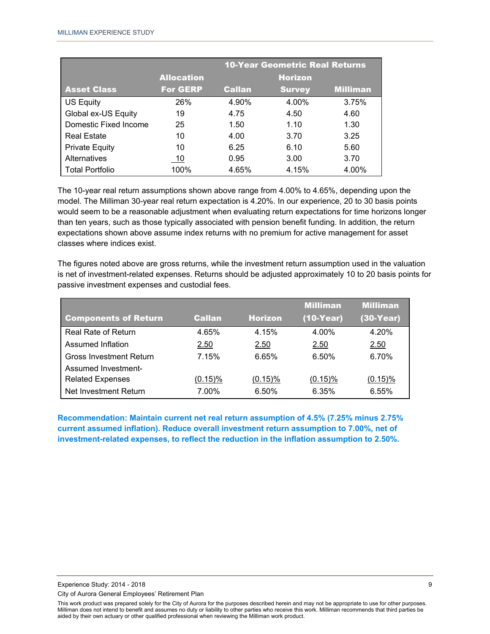|                        |                   | <b>10-Year Geometric Real Returns</b> |                |                 |
|------------------------|-------------------|---------------------------------------|----------------|-----------------|
|                        | <b>Allocation</b> |                                       | <b>Horizon</b> |                 |
| <b>Asset Class</b>     | <b>For GERP</b>   | <b>Callan</b>                         | <b>Survey</b>  | <b>Milliman</b> |
| <b>US Equity</b>       | 26%               | 4.90%                                 | 4.00%          | 3.75%           |
| Global ex-US Equity    | 19                | 4.75                                  | 4.50           | 4.60            |
| Domestic Fixed Income  | 25                | 1.50                                  | 1.10           | 1.30            |
| <b>Real Estate</b>     | 10                | 4.00                                  | 3.70           | 3.25            |
| <b>Private Equity</b>  | 10                | 6.25                                  | 6.10           | 5.60            |
| Alternatives           | 10                | 0.95                                  | 3.00           | 3.70            |
| <b>Total Portfolio</b> | 100%              | 4.65%                                 | 4.15%          | 4.00%           |

The 10-year real return assumptions shown above range from 4.00% to 4.65%, depending upon the model. The Milliman 30-year real return expectation is 4.20%. In our experience, 20 to 30 basis points would seem to be a reasonable adjustment when evaluating return expectations for time horizons longer than ten years, such as those typically associated with pension benefit funding. In addition, the return expectations shown above assume index returns with no premium for active management for asset classes where indices exist.

The figures noted above are gross returns, while the investment return assumption used in the valuation is net of investment-related expenses. Returns should be adjusted approximately 10 to 20 basis points for passive investment expenses and custodial fees.

|                                |            |                | <b>Milliman</b> | <b>Milliman</b> |
|--------------------------------|------------|----------------|-----------------|-----------------|
| <b>Components of Return</b>    | Callan     | <b>Horizon</b> | $(10-Year)$     | $(30-Year)$     |
| Real Rate of Return            | 4.65%      | 4.15%          | 4.00%           | 4.20%           |
| Assumed Inflation              | 2.50       | 2.50           | 2.50            | 2.50            |
| <b>Gross Investment Return</b> | 7.15%      | 6.65%          | 6.50%           | 6.70%           |
| Assumed Investment-            |            |                |                 |                 |
| <b>Related Expenses</b>        | $(0.15)$ % | $(0.15)$ %     | $(0.15)\%$      | $(0.15)$ %      |
| Net Investment Return          | 7.00%      | 6.50%          | 6.35%           | 6.55%           |

**Recommendation: Maintain current net real return assumption of 4.5% (7.25% minus 2.75% current assumed inflation). Reduce overall investment return assumption to 7.00%, net of investment-related expenses, to reflect the reduction in the inflation assumption to 2.50%.**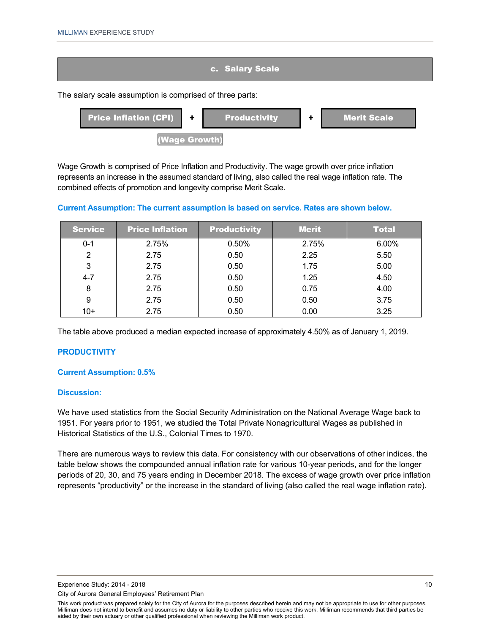#### c. Salary Scale

The salary scale assumption is comprised of three parts:



Wage Growth is comprised of Price Inflation and Productivity. The wage growth over price inflation represents an increase in the assumed standard of living, also called the real wage inflation rate. The combined effects of promotion and longevity comprise Merit Scale.

|  |  |  | <b>Current Assumption: The current assumption is based on service. Rates are shown below.</b> |
|--|--|--|-----------------------------------------------------------------------------------------------|
|  |  |  |                                                                                               |

| <b>Service</b> | <b>Price Inflation</b> | <b>Productivity</b> | <b>Merit</b> | <b>Total</b> |
|----------------|------------------------|---------------------|--------------|--------------|
| $0 - 1$        | 2.75%                  | 0.50%               | 2.75%        | 6.00%        |
| 2              | 2.75                   | 0.50                | 2.25         | 5.50         |
| 3              | 2.75                   | 0.50                | 1.75         | 5.00         |
| $4 - 7$        | 2.75                   | 0.50                | 1.25         | 4.50         |
| 8              | 2.75                   | 0.50                | 0.75         | 4.00         |
| 9              | 2.75                   | 0.50                | 0.50         | 3.75         |
| $10+$          | 2.75                   | 0.50                | 0.00         | 3.25         |

The table above produced a median expected increase of approximately 4.50% as of January 1, 2019.

#### **PRODUCTIVITY**

#### **Current Assumption: 0.5%**

#### **Discussion:**

We have used statistics from the Social Security Administration on the National Average Wage back to 1951. For years prior to 1951, we studied the Total Private Nonagricultural Wages as published in Historical Statistics of the U.S., Colonial Times to 1970.

There are numerous ways to review this data. For consistency with our observations of other indices, the table below shows the compounded annual inflation rate for various 10-year periods, and for the longer periods of 20, 30, and 75 years ending in December 2018. The excess of wage growth over price inflation represents "productivity" or the increase in the standard of living (also called the real wage inflation rate).

Experience Study: 2014 - 2018 10

City of Aurora General Employees' Retirement Plan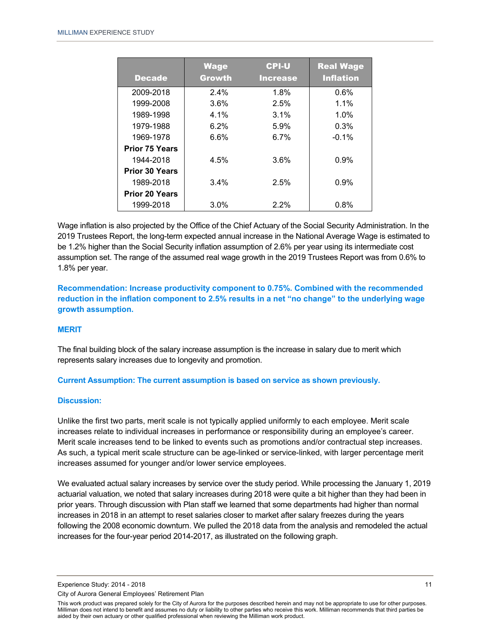| <b>Decade</b>         | <b>Wage</b><br><b>Growth</b> | <b>CPI-U</b><br><b>Increase</b> | <b>Real Wage</b><br><b>Inflation</b> |
|-----------------------|------------------------------|---------------------------------|--------------------------------------|
| 2009-2018             | $2.4\%$                      | 1.8%                            | $0.6\%$                              |
| 1999-2008             | 3.6%                         | 2.5%                            | $1.1\%$                              |
| 1989-1998             | $4.1\%$                      | 3.1%                            | 1.0%                                 |
| 1979-1988             | 6.2%                         | 5.9%                            | 0.3%                                 |
| 1969-1978             | 6.6%                         | 6.7%                            | $-0.1%$                              |
| <b>Prior 75 Years</b> |                              |                                 |                                      |
| 1944-2018             | 4.5%                         | 3.6%                            | 0.9%                                 |
| <b>Prior 30 Years</b> |                              |                                 |                                      |
| 1989-2018             | 3.4%                         | 2.5%                            | 0.9%                                 |
| <b>Prior 20 Years</b> |                              |                                 |                                      |
| 1999-2018             | $3.0\%$                      | $2.2\%$                         | $0.8\%$                              |

Wage inflation is also projected by the Office of the Chief Actuary of the Social Security Administration. In the 2019 Trustees Report, the long-term expected annual increase in the National Average Wage is estimated to be 1.2% higher than the Social Security inflation assumption of 2.6% per year using its intermediate cost assumption set. The range of the assumed real wage growth in the 2019 Trustees Report was from 0.6% to 1.8% per year.

**Recommendation: Increase productivity component to 0.75%. Combined with the recommended reduction in the inflation component to 2.5% results in a net "no change" to the underlying wage growth assumption.** 

#### **MERIT**

The final building block of the salary increase assumption is the increase in salary due to merit which represents salary increases due to longevity and promotion.

#### **Current Assumption: The current assumption is based on service as shown previously.**

#### **Discussion:**

Unlike the first two parts, merit scale is not typically applied uniformly to each employee. Merit scale increases relate to individual increases in performance or responsibility during an employee's career. Merit scale increases tend to be linked to events such as promotions and/or contractual step increases. As such, a typical merit scale structure can be age-linked or service-linked, with larger percentage merit increases assumed for younger and/or lower service employees.

We evaluated actual salary increases by service over the study period. While processing the January 1, 2019 actuarial valuation, we noted that salary increases during 2018 were quite a bit higher than they had been in prior years. Through discussion with Plan staff we learned that some departments had higher than normal increases in 2018 in an attempt to reset salaries closer to market after salary freezes during the years following the 2008 economic downturn. We pulled the 2018 data from the analysis and remodeled the actual increases for the four-year period 2014-2017, as illustrated on the following graph.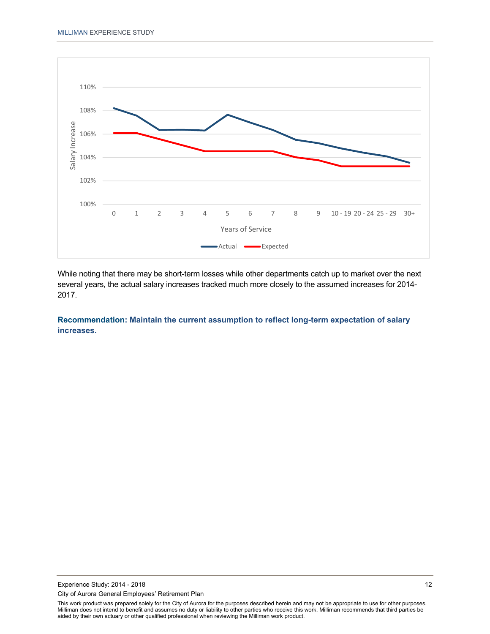

While noting that there may be short-term losses while other departments catch up to market over the next several years, the actual salary increases tracked much more closely to the assumed increases for 2014- 2017.

**Recommendation: Maintain the current assumption to reflect long-term expectation of salary increases.**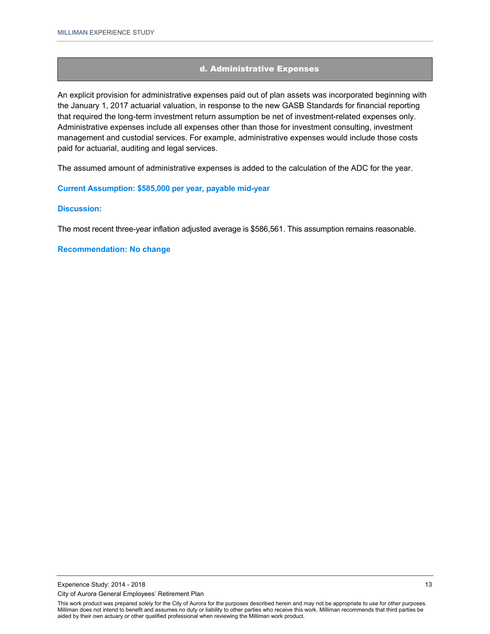#### d. Administrative Expenses

An explicit provision for administrative expenses paid out of plan assets was incorporated beginning with the January 1, 2017 actuarial valuation, in response to the new GASB Standards for financial reporting that required the long-term investment return assumption be net of investment-related expenses only. Administrative expenses include all expenses other than those for investment consulting, investment management and custodial services. For example, administrative expenses would include those costs paid for actuarial, auditing and legal services.

The assumed amount of administrative expenses is added to the calculation of the ADC for the year.

**Current Assumption: \$585,000 per year, payable mid-year** 

#### **Discussion:**

The most recent three-year inflation adjusted average is \$586,561. This assumption remains reasonable.

#### **Recommendation: No change**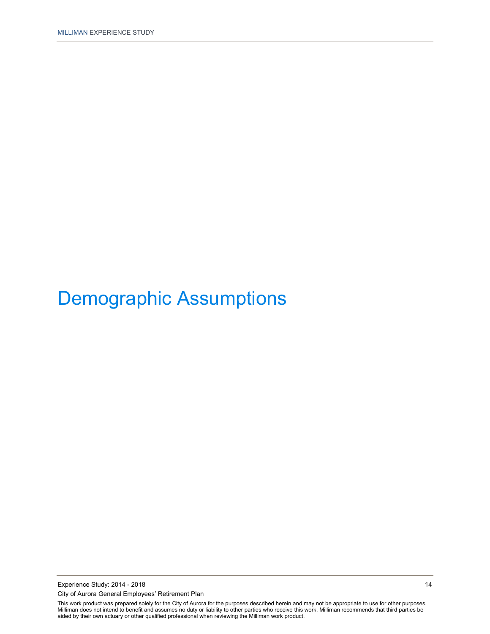## Demographic Assumptions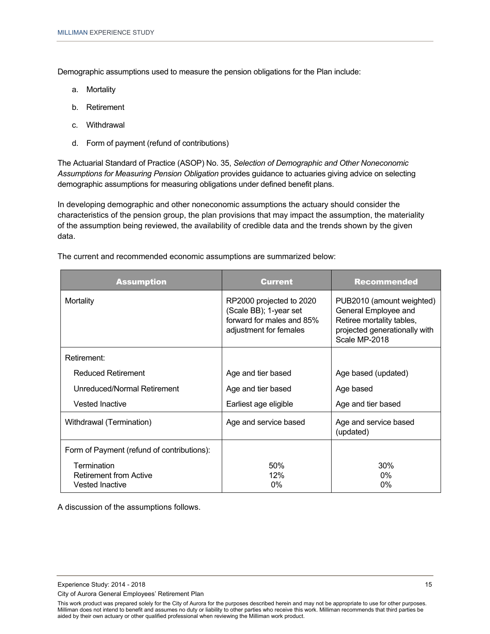Demographic assumptions used to measure the pension obligations for the Plan include:

- a. Mortality
- b. Retirement
- c. Withdrawal
- d. Form of payment (refund of contributions)

The Actuarial Standard of Practice (ASOP) No. 35, *Selection of Demographic and Other Noneconomic Assumptions for Measuring Pension Obligation* provides guidance to actuaries giving advice on selecting demographic assumptions for measuring obligations under defined benefit plans.

In developing demographic and other noneconomic assumptions the actuary should consider the characteristics of the pension group, the plan provisions that may impact the assumption, the materiality of the assumption being reviewed, the availability of credible data and the trends shown by the given data.

| <b>Assumption</b>                                       | Current                                                                                                   | <b>Recommended</b>                                                                                                               |
|---------------------------------------------------------|-----------------------------------------------------------------------------------------------------------|----------------------------------------------------------------------------------------------------------------------------------|
| Mortality                                               | RP2000 projected to 2020<br>(Scale BB); 1-year set<br>forward for males and 85%<br>adjustment for females | PUB2010 (amount weighted)<br>General Employee and<br>Retiree mortality tables,<br>projected generationally with<br>Scale MP-2018 |
| Retirement:                                             |                                                                                                           |                                                                                                                                  |
| <b>Reduced Retirement</b>                               | Age and tier based                                                                                        | Age based (updated)                                                                                                              |
| Unreduced/Normal Retirement                             | Age and tier based                                                                                        | Age based                                                                                                                        |
| <b>Vested Inactive</b>                                  | Earliest age eligible                                                                                     | Age and tier based                                                                                                               |
| Withdrawal (Termination)                                | Age and service based                                                                                     | Age and service based<br>(updated)                                                                                               |
| Form of Payment (refund of contributions):              |                                                                                                           |                                                                                                                                  |
| Termination                                             | 50%                                                                                                       | 30%                                                                                                                              |
| <b>Retirement from Active</b><br><b>Vested Inactive</b> | 12%<br>$0\%$                                                                                              | $0\%$<br>$0\%$                                                                                                                   |

The current and recommended economic assumptions are summarized below:

A discussion of the assumptions follows.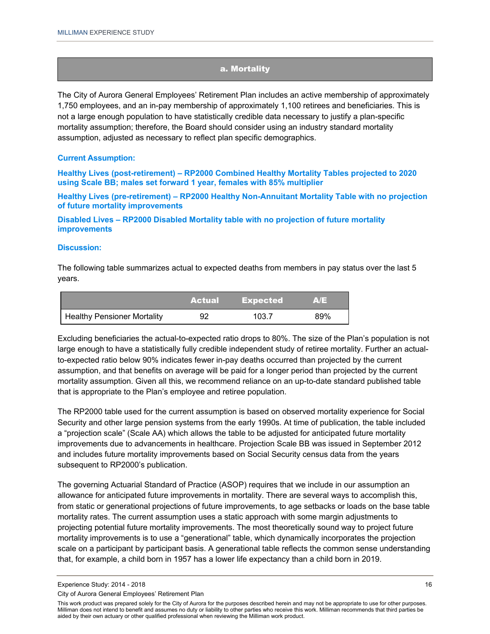#### a. Mortality

The City of Aurora General Employees' Retirement Plan includes an active membership of approximately 1,750 employees, and an in-pay membership of approximately 1,100 retirees and beneficiaries. This is not a large enough population to have statistically credible data necessary to justify a plan-specific mortality assumption; therefore, the Board should consider using an industry standard mortality assumption, adjusted as necessary to reflect plan specific demographics.

#### **Current Assumption:**

**Healthy Lives (post-retirement) – RP2000 Combined Healthy Mortality Tables projected to 2020 using Scale BB; males set forward 1 year, females with 85% multiplier** 

**Healthy Lives (pre-retirement) – RP2000 Healthy Non-Annuitant Mortality Table with no projection of future mortality improvements** 

#### **Disabled Lives – RP2000 Disabled Mortality table with no projection of future mortality improvements**

#### **Discussion:**

The following table summarizes actual to expected deaths from members in pay status over the last 5 years.

|                             |    | Actual Expected | AVE. |
|-----------------------------|----|-----------------|------|
| Healthy Pensioner Mortality | 92 | 103.7           | 89%  |

Excluding beneficiaries the actual-to-expected ratio drops to 80%. The size of the Plan's population is not large enough to have a statistically fully credible independent study of retiree mortality. Further an actualto-expected ratio below 90% indicates fewer in-pay deaths occurred than projected by the current assumption, and that benefits on average will be paid for a longer period than projected by the current mortality assumption. Given all this, we recommend reliance on an up-to-date standard published table that is appropriate to the Plan's employee and retiree population.

The RP2000 table used for the current assumption is based on observed mortality experience for Social Security and other large pension systems from the early 1990s. At time of publication, the table included a "projection scale" (Scale AA) which allows the table to be adjusted for anticipated future mortality improvements due to advancements in healthcare. Projection Scale BB was issued in September 2012 and includes future mortality improvements based on Social Security census data from the years subsequent to RP2000's publication.

The governing Actuarial Standard of Practice (ASOP) requires that we include in our assumption an allowance for anticipated future improvements in mortality. There are several ways to accomplish this, from static or generational projections of future improvements, to age setbacks or loads on the base table mortality rates. The current assumption uses a static approach with some margin adjustments to projecting potential future mortality improvements. The most theoretically sound way to project future mortality improvements is to use a "generational" table, which dynamically incorporates the projection scale on a participant by participant basis. A generational table reflects the common sense understanding that, for example, a child born in 1957 has a lower life expectancy than a child born in 2019.

Experience Study: 2014 - 2018 16

City of Aurora General Employees' Retirement Plan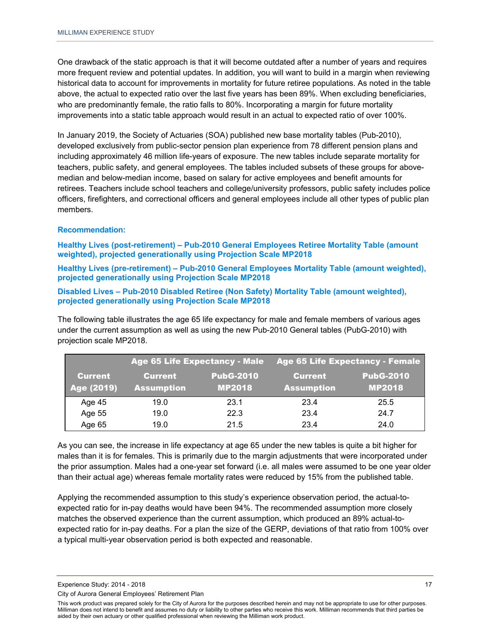One drawback of the static approach is that it will become outdated after a number of years and requires more frequent review and potential updates. In addition, you will want to build in a margin when reviewing historical data to account for improvements in mortality for future retiree populations. As noted in the table above, the actual to expected ratio over the last five years has been 89%. When excluding beneficiaries, who are predominantly female, the ratio falls to 80%. Incorporating a margin for future mortality improvements into a static table approach would result in an actual to expected ratio of over 100%.

In January 2019, the Society of Actuaries (SOA) published new base mortality tables (Pub-2010), developed exclusively from public-sector pension plan experience from 78 different pension plans and including approximately 46 million life-years of exposure. The new tables include separate mortality for teachers, public safety, and general employees. The tables included subsets of these groups for abovemedian and below-median income, based on salary for active employees and benefit amounts for retirees. Teachers include school teachers and college/university professors, public safety includes police officers, firefighters, and correctional officers and general employees include all other types of public plan members.

#### **Recommendation:**

**Healthy Lives (post-retirement) – Pub-2010 General Employees Retiree Mortality Table (amount weighted), projected generationally using Projection Scale MP2018** 

**Healthy Lives (pre-retirement) – Pub-2010 General Employees Mortality Table (amount weighted), projected generationally using Projection Scale MP2018** 

#### **Disabled Lives – Pub-2010 Disabled Retiree (Non Safety) Mortality Table (amount weighted), projected generationally using Projection Scale MP2018**

The following table illustrates the age 65 life expectancy for male and female members of various ages under the current assumption as well as using the new Pub-2010 General tables (PubG-2010) with projection scale MP2018.

|                |                   | <b>Age 65 Life Expectancy - Male</b> | <b>Age 65 Life Expectancy - Female</b> |                  |
|----------------|-------------------|--------------------------------------|----------------------------------------|------------------|
| <b>Current</b> | <b>Current</b>    | <b>PubG-2010</b>                     | <b>Current</b>                         | <b>PubG-2010</b> |
| Age (2019)     | <b>Assumption</b> | <b>MP2018</b>                        | <b>Assumption</b>                      | <b>MP2018</b>    |
| Age 45         | 19.0              | 23.1                                 | 23.4                                   | 25.5             |
| Age 55         | 19.0              | 22.3                                 | 23.4                                   | 24.7             |
| Age 65         | 19.0              | 21.5                                 | 23.4                                   | 24.0             |

As you can see, the increase in life expectancy at age 65 under the new tables is quite a bit higher for males than it is for females. This is primarily due to the margin adjustments that were incorporated under the prior assumption. Males had a one-year set forward (i.e. all males were assumed to be one year older than their actual age) whereas female mortality rates were reduced by 15% from the published table.

Applying the recommended assumption to this study's experience observation period, the actual-toexpected ratio for in-pay deaths would have been 94%. The recommended assumption more closely matches the observed experience than the current assumption, which produced an 89% actual-toexpected ratio for in-pay deaths. For a plan the size of the GERP, deviations of that ratio from 100% over a typical multi-year observation period is both expected and reasonable.

Experience Study: 2014 - 2018 17

City of Aurora General Employees' Retirement Plan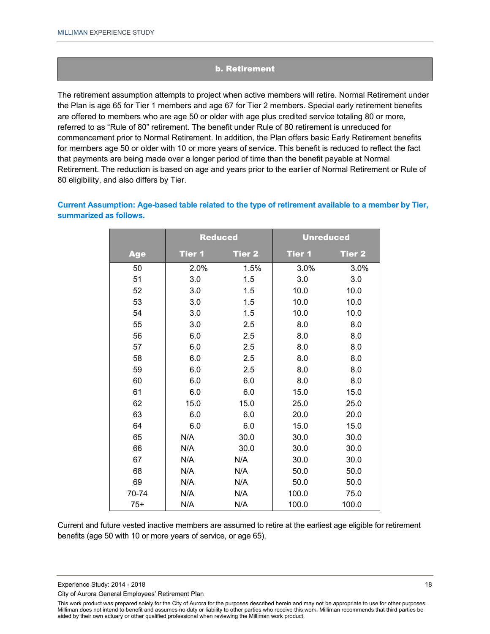#### b. Retirement

The retirement assumption attempts to project when active members will retire. Normal Retirement under the Plan is age 65 for Tier 1 members and age 67 for Tier 2 members. Special early retirement benefits are offered to members who are age 50 or older with age plus credited service totaling 80 or more, referred to as "Rule of 80" retirement. The benefit under Rule of 80 retirement is unreduced for commencement prior to Normal Retirement. In addition, the Plan offers basic Early Retirement benefits for members age 50 or older with 10 or more years of service. This benefit is reduced to reflect the fact that payments are being made over a longer period of time than the benefit payable at Normal Retirement. The reduction is based on age and years prior to the earlier of Normal Retirement or Rule of 80 eligibility, and also differs by Tier.

|       | <b>Reduced</b> |               |               | <b>Unreduced</b> |
|-------|----------------|---------------|---------------|------------------|
| Age   | <b>Tier 1</b>  | <b>Tier 2</b> | <b>Tier 1</b> | <b>Tier 2</b>    |
| 50    | 2.0%           | 1.5%          | 3.0%          | 3.0%             |
| 51    | 3.0            | 1.5           | 3.0           | 3.0              |
| 52    | 3.0            | 1.5           | 10.0          | 10.0             |
| 53    | 3.0            | 1.5           | 10.0          | 10.0             |
| 54    | 3.0            | 1.5           | 10.0          | 10.0             |
| 55    | 3.0            | 2.5           | 8.0           | 8.0              |
| 56    | 6.0            | 2.5           | 8.0           | 8.0              |
| 57    | 6.0            | 2.5           | 8.0           | 8.0              |
| 58    | 6.0            | 2.5           | 8.0           | 8.0              |
| 59    | 6.0            | 2.5           | 8.0           | 8.0              |
| 60    | 6.0            | 6.0           | 8.0           | 8.0              |
| 61    | 6.0            | 6.0           | 15.0          | 15.0             |
| 62    | 15.0           | 15.0          | 25.0          | 25.0             |
| 63    | 6.0            | 6.0           | 20.0          | 20.0             |
| 64    | 6.0            | 6.0           | 15.0          | 15.0             |
| 65    | N/A            | 30.0          | 30.0          | 30.0             |
| 66    | N/A            | 30.0          | 30.0          | 30.0             |
| 67    | N/A            | N/A           | 30.0          | 30.0             |
| 68    | N/A            | N/A           | 50.0          | 50.0             |
| 69    | N/A            | N/A           | 50.0          | 50.0             |
| 70-74 | N/A            | N/A           | 100.0         | 75.0             |
| $75+$ | N/A            | N/A           | 100.0         | 100.0            |

**Current Assumption: Age-based table related to the type of retirement available to a member by Tier, summarized as follows.** 

Current and future vested inactive members are assumed to retire at the earliest age eligible for retirement benefits (age 50 with 10 or more years of service, or age 65).

Experience Study: 2014 - 2018 18

City of Aurora General Employees' Retirement Plan

This work product was prepared solely for the City of Aurora for the purposes described herein and may not be appropriate to use for other purposes. Milliman does not intend to benefit and assumes no duty or liability to other parties who receive this work. Milliman recommends that third parties be aided by their own actuary or other qualified professional when reviewing the Milliman work product.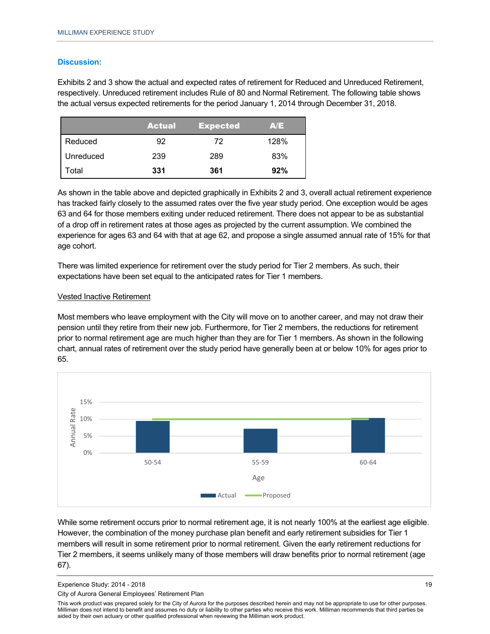#### **Discussion:**

Exhibits 2 and 3 show the actual and expected rates of retirement for Reduced and Unreduced Retirement, respectively. Unreduced retirement includes Rule of 80 and Normal Retirement. The following table shows the actual versus expected retirements for the period January 1, 2014 through December 31, 2018.

|           | <b>Actual</b> | <b>Expected</b> | A/E  |
|-----------|---------------|-----------------|------|
| Reduced   | 92            | 72              | 128% |
| Unreduced | 239           | 289             | 83%  |
| Total     | 331           | 361             | 92%  |

As shown in the table above and depicted graphically in Exhibits 2 and 3, overall actual retirement experience has tracked fairly closely to the assumed rates over the five year study period. One exception would be ages 63 and 64 for those members exiting under reduced retirement. There does not appear to be as substantial of a drop off in retirement rates at those ages as projected by the current assumption. We combined the experience for ages 63 and 64 with that at age 62, and propose a single assumed annual rate of 15% for that age cohort.

There was limited experience for retirement over the study period for Tier 2 members. As such, their expectations have been set equal to the anticipated rates for Tier 1 members.

#### Vested Inactive Retirement

Most members who leave employment with the City will move on to another career, and may not draw their pension until they retire from their new job. Furthermore, for Tier 2 members, the reductions for retirement prior to normal retirement age are much higher than they are for Tier 1 members. As shown in the following chart, annual rates of retirement over the study period have generally been at or below 10% for ages prior to 65.



While some retirement occurs prior to normal retirement age, it is not nearly 100% at the earliest age eligible. However, the combination of the money purchase plan benefit and early retirement subsidies for Tier 1 members will result in some retirement prior to normal retirement. Given the early retirement reductions for Tier 2 members, it seems unlikely many of those members will draw benefits prior to normal retirement (age 67).

Experience Study: 2014 - 2018 19

City of Aurora General Employees' Retirement Plan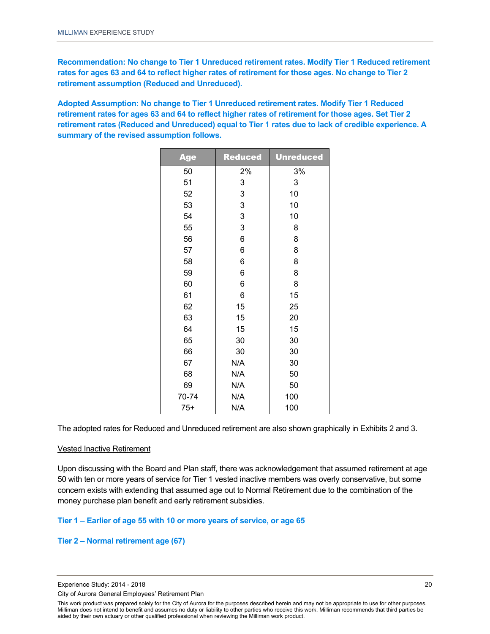**Recommendation: No change to Tier 1 Unreduced retirement rates. Modify Tier 1 Reduced retirement rates for ages 63 and 64 to reflect higher rates of retirement for those ages. No change to Tier 2 retirement assumption (Reduced and Unreduced).** 

**Adopted Assumption: No change to Tier 1 Unreduced retirement rates. Modify Tier 1 Reduced retirement rates for ages 63 and 64 to reflect higher rates of retirement for those ages. Set Tier 2 retirement rates (Reduced and Unreduced) equal to Tier 1 rates due to lack of credible experience. A summary of the revised assumption follows.** 

| <b>Age</b> | <b>Reduced</b> | <b>Unreduced</b> |
|------------|----------------|------------------|
| 50         | 2%             | 3%               |
| 51         | 3              | 3                |
| 52         | 3              | 10               |
| 53         | 3              | 10               |
| 54         | 3              | 10               |
| 55         | 3              | 8                |
| 56         | 6              | 8                |
| 57         | 6              | 8                |
| 58         | 6              | 8                |
| 59         | 6              | 8                |
| 60         | 6              | 8                |
| 61         | 6              | 15               |
| 62         | 15             | 25               |
| 63         | 15             | 20               |
| 64         | 15             | 15               |
| 65         | 30             | 30               |
| 66         | 30             | 30               |
| 67         | N/A            | 30               |
| 68         | N/A            | 50               |
| 69         | N/A            | 50               |
| 70-74      | N/A            | 100              |
| $75+$      | N/A            | 100              |

The adopted rates for Reduced and Unreduced retirement are also shown graphically in Exhibits 2 and 3.

#### Vested Inactive Retirement

Upon discussing with the Board and Plan staff, there was acknowledgement that assumed retirement at age 50 with ten or more years of service for Tier 1 vested inactive members was overly conservative, but some concern exists with extending that assumed age out to Normal Retirement due to the combination of the money purchase plan benefit and early retirement subsidies.

#### **Tier 1 – Earlier of age 55 with 10 or more years of service, or age 65**

#### **Tier 2 – Normal retirement age (67)**

Experience Study: 2014 - 2018 20

City of Aurora General Employees' Retirement Plan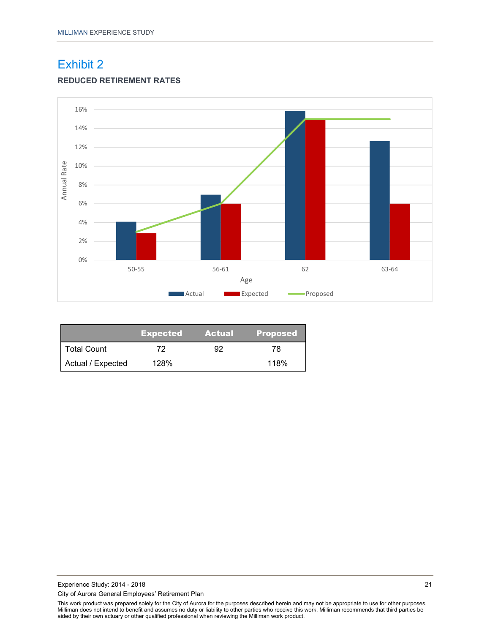## Exhibit 2

#### **REDUCED RETIREMENT RATES**



|                    | <b>Expected</b> | <b>Actual</b> | Proposed |
|--------------------|-----------------|---------------|----------|
| <b>Total Count</b> | 72              | 92            | 78       |
| Actual / Expected  | 128%            |               | 118%     |

Experience Study: 2014 - 2018 21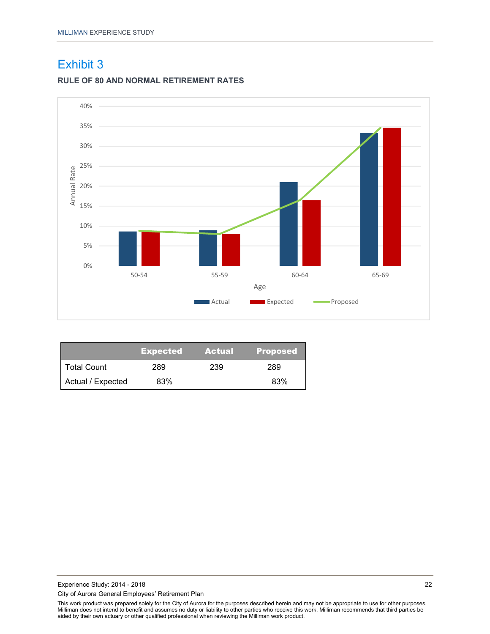### Exhibit 3





|                    | <b>Expected</b> | Actual | <b>Proposed</b> |
|--------------------|-----------------|--------|-----------------|
| <b>Total Count</b> | 289             | 239    | 289             |
| Actual / Expected  | 83%             |        | 83%             |

Experience Study: 2014 - 2018 22

City of Aurora General Employees' Retirement Plan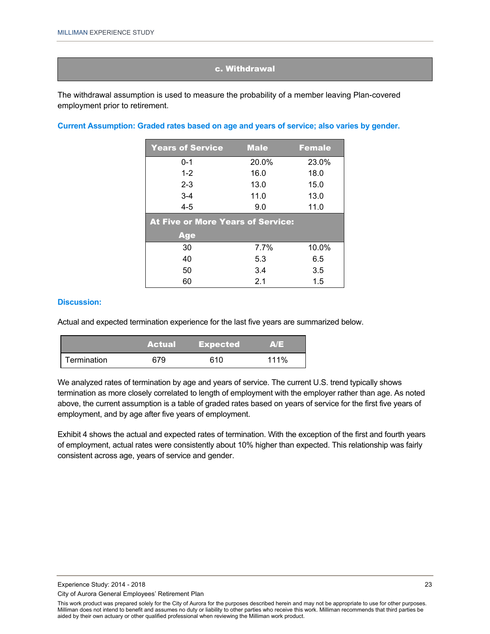#### c. Withdrawal

The withdrawal assumption is used to measure the probability of a member leaving Plan-covered employment prior to retirement.

| <b>Years of Service</b>                  | <b>Male</b> | <b>Female</b> |
|------------------------------------------|-------------|---------------|
| $0 - 1$                                  | 20.0%       | 23.0%         |
| $1 - 2$                                  | 16.0        | 18.0          |
| $2 - 3$                                  | 13.0        | 15.0          |
| $3 - 4$                                  | 11.0        | 13.0          |
| $4 - 5$                                  | 9.0         | 11.0          |
| <b>At Five or More Years of Service:</b> |             |               |
| <b>Age</b>                               |             |               |
| 30                                       | 7.7%        | 10.0%         |
| 40                                       | 5.3         | 6.5           |
| 50                                       | 3.4         | 3.5           |
| 60                                       | 2.1         | 1.5           |

**Current Assumption: Graded rates based on age and years of service; also varies by gender.** 

#### **Discussion:**

Actual and expected termination experience for the last five years are summarized below.

|             | <b>Actual</b> | <b>Expected</b> | /≟VI ⊐ |
|-------------|---------------|-----------------|--------|
| Termination | 679           | 610             | 111%   |

We analyzed rates of termination by age and years of service. The current U.S. trend typically shows termination as more closely correlated to length of employment with the employer rather than age. As noted above, the current assumption is a table of graded rates based on years of service for the first five years of employment, and by age after five years of employment.

Exhibit 4 shows the actual and expected rates of termination. With the exception of the first and fourth years of employment, actual rates were consistently about 10% higher than expected. This relationship was fairly consistent across age, years of service and gender.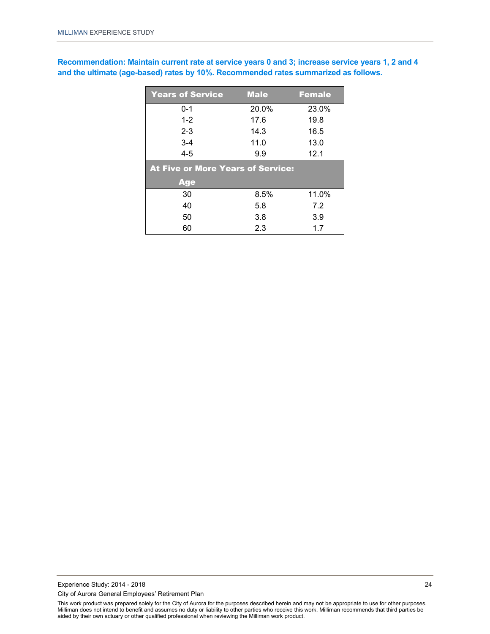**Recommendation: Maintain current rate at service years 0 and 3; increase service years 1, 2 and 4 and the ultimate (age-based) rates by 10%. Recommended rates summarized as follows.** 

| <b>Years of Service</b>                  | <b>Male</b> | <b>Female</b> |
|------------------------------------------|-------------|---------------|
| $0 - 1$                                  | 20.0%       | 23.0%         |
| $1 - 2$                                  | 17.6        | 19.8          |
| $2 - 3$                                  | 14.3        | 16.5          |
| $3 - 4$                                  | 11.0        | 13.0          |
| $4 - 5$                                  | 9.9         | 12.1          |
|                                          |             |               |
| <b>At Five or More Years of Service:</b> |             |               |
| <b>Age</b>                               |             |               |
| 30                                       | 8.5%        | 11.0%         |
| 40                                       | 5.8         | 7.2           |
| 50                                       | 3.8         | 3.9           |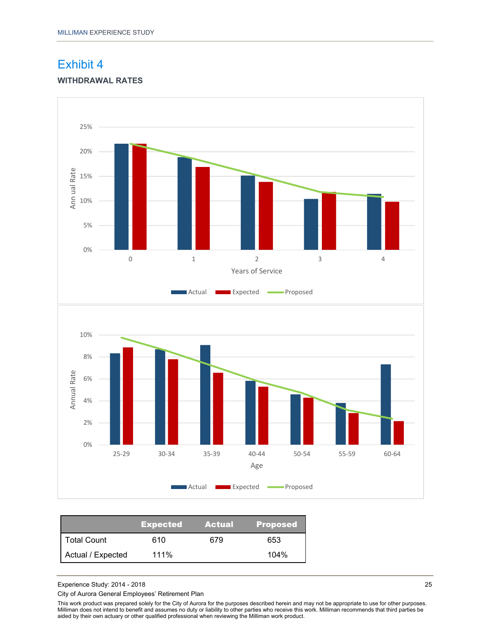## Exhibit 4

#### **WITHDRAWAL RATES**



|                    | <b>Expected</b> | <b>Actual</b> | <b>Proposed</b> |
|--------------------|-----------------|---------------|-----------------|
| <b>Total Count</b> | 610             | 679           | 653             |
| Actual / Expected  | 111%            |               | 104%            |

Experience Study: 2014 - 2018 25

City of Aurora General Employees' Retirement Plan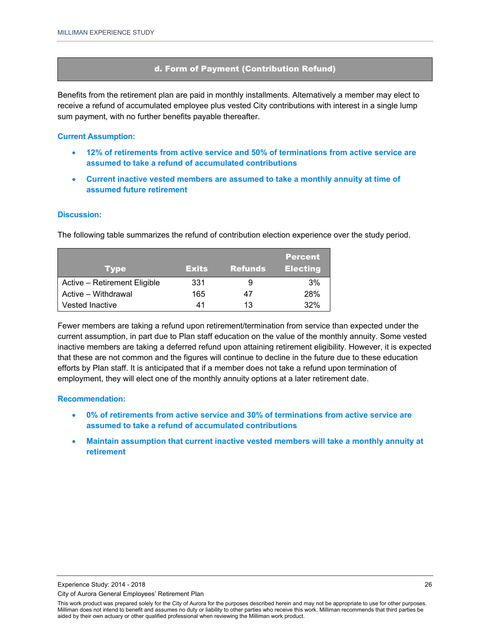#### d. Form of Payment (Contribution Refund)

Benefits from the retirement plan are paid in monthly installments. Alternatively a member may elect to receive a refund of accumulated employee plus vested City contributions with interest in a single lump sum payment, with no further benefits payable thereafter.

**Current Assumption:** 

- **12% of retirements from active service and 50% of terminations from active service are assumed to take a refund of accumulated contributions**
- **Current inactive vested members are assumed to take a monthly annuity at time of assumed future retirement**

#### **Discussion:**

The following table summarizes the refund of contribution election experience over the study period.

|                              |       |                | ⊦Percent        |
|------------------------------|-------|----------------|-----------------|
| <b>Type</b>                  | Exits | <b>Refunds</b> | <b>Electing</b> |
| Active – Retirement Eligible | 331   |                | 3%              |
| Active - Withdrawal          | 165   | 47             | 28%             |
| Vested Inactive              | 41    | 13             | 32%             |

Fewer members are taking a refund upon retirement/termination from service than expected under the current assumption, in part due to Plan staff education on the value of the monthly annuity. Some vested inactive members are taking a deferred refund upon attaining retirement eligibility. However, it is expected that these are not common and the figures will continue to decline in the future due to these education efforts by Plan staff. It is anticipated that if a member does not take a refund upon termination of employment, they will elect one of the monthly annuity options at a later retirement date.

#### **Recommendation:**

- **0% of retirements from active service and 30% of terminations from active service are assumed to take a refund of accumulated contributions**
- **Maintain assumption that current inactive vested members will take a monthly annuity at retirement**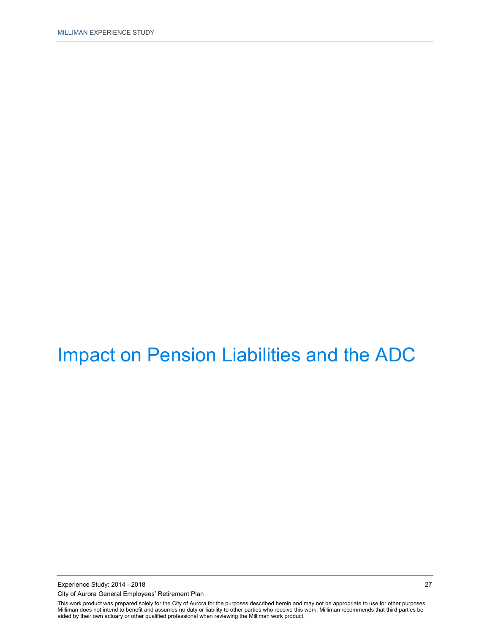## Impact on Pension Liabilities and the ADC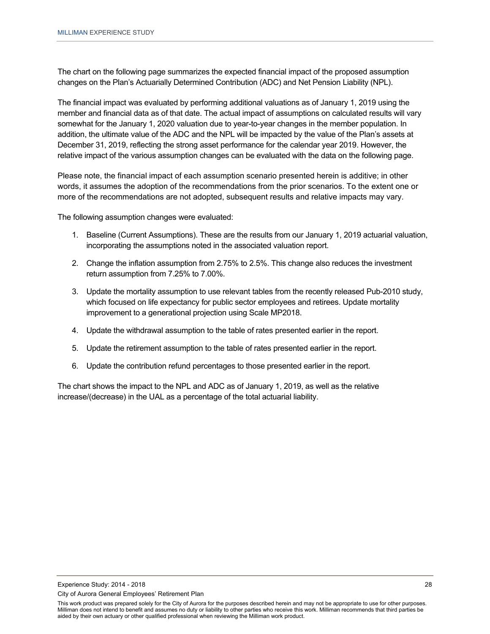The chart on the following page summarizes the expected financial impact of the proposed assumption changes on the Plan's Actuarially Determined Contribution (ADC) and Net Pension Liability (NPL).

The financial impact was evaluated by performing additional valuations as of January 1, 2019 using the member and financial data as of that date. The actual impact of assumptions on calculated results will vary somewhat for the January 1, 2020 valuation due to year-to-year changes in the member population. In addition, the ultimate value of the ADC and the NPL will be impacted by the value of the Plan's assets at December 31, 2019, reflecting the strong asset performance for the calendar year 2019. However, the relative impact of the various assumption changes can be evaluated with the data on the following page.

Please note, the financial impact of each assumption scenario presented herein is additive; in other words, it assumes the adoption of the recommendations from the prior scenarios. To the extent one or more of the recommendations are not adopted, subsequent results and relative impacts may vary.

The following assumption changes were evaluated:

- 1. Baseline (Current Assumptions). These are the results from our January 1, 2019 actuarial valuation, incorporating the assumptions noted in the associated valuation report.
- 2. Change the inflation assumption from 2.75% to 2.5%. This change also reduces the investment return assumption from 7.25% to 7.00%.
- 3. Update the mortality assumption to use relevant tables from the recently released Pub-2010 study, which focused on life expectancy for public sector employees and retirees. Update mortality improvement to a generational projection using Scale MP2018.
- 4. Update the withdrawal assumption to the table of rates presented earlier in the report.
- 5. Update the retirement assumption to the table of rates presented earlier in the report.
- 6. Update the contribution refund percentages to those presented earlier in the report.

The chart shows the impact to the NPL and ADC as of January 1, 2019, as well as the relative increase/(decrease) in the UAL as a percentage of the total actuarial liability.